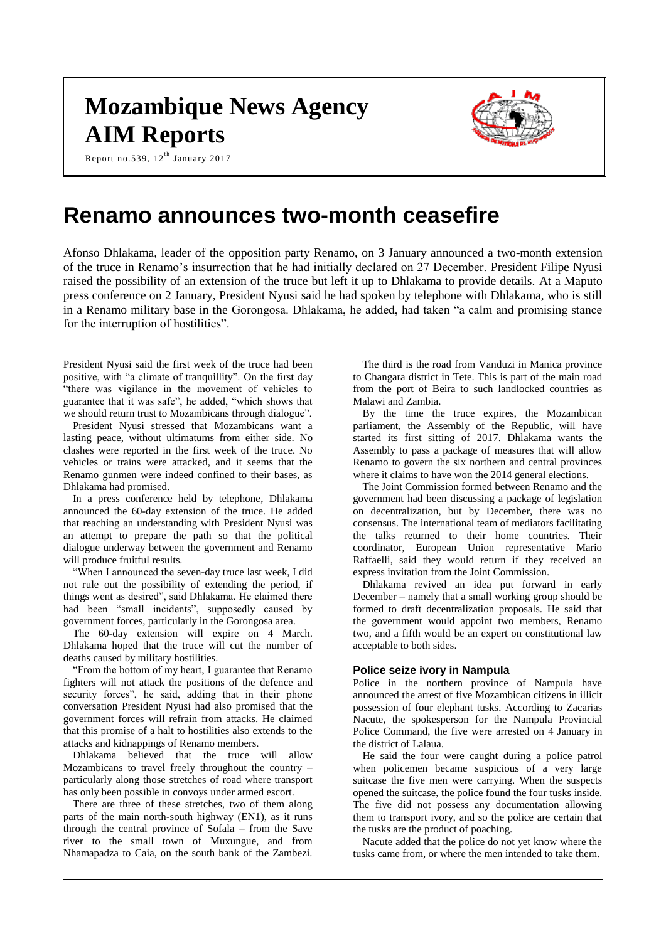# **Mozambique News Agency AIM Reports**



Report no.539,  $12^{\text{th}}$  January 2017

# **Renamo announces two-month ceasefire**

Afonso Dhlakama, leader of the opposition party Renamo, on 3 January announced a two-month extension of the truce in Renamo's insurrection that he had initially declared on 27 December. President Filipe Nyusi raised the possibility of an extension of the truce but left it up to Dhlakama to provide details. At a Maputo press conference on 2 January, President Nyusi said he had spoken by telephone with Dhlakama, who is still in a Renamo military base in the Gorongosa. Dhlakama, he added, had taken "a calm and promising stance for the interruption of hostilities".

President Nyusi said the first week of the truce had been positive, with "a climate of tranquillity". On the first day "there was vigilance in the movement of vehicles to guarantee that it was safe", he added, "which shows that we should return trust to Mozambicans through dialogue".

President Nyusi stressed that Mozambicans want a lasting peace, without ultimatums from either side. No clashes were reported in the first week of the truce. No vehicles or trains were attacked, and it seems that the Renamo gunmen were indeed confined to their bases, as Dhlakama had promised.

In a press conference held by telephone, Dhlakama announced the 60-day extension of the truce. He added that reaching an understanding with President Nyusi was an attempt to prepare the path so that the political dialogue underway between the government and Renamo will produce fruitful results.

"When I announced the seven-day truce last week, I did not rule out the possibility of extending the period, if things went as desired", said Dhlakama. He claimed there had been "small incidents", supposedly caused by government forces, particularly in the Gorongosa area.

The 60-day extension will expire on 4 March. Dhlakama hoped that the truce will cut the number of deaths caused by military hostilities.

"From the bottom of my heart, I guarantee that Renamo fighters will not attack the positions of the defence and security forces", he said, adding that in their phone conversation President Nyusi had also promised that the government forces will refrain from attacks. He claimed that this promise of a halt to hostilities also extends to the attacks and kidnappings of Renamo members.

Dhlakama believed that the truce will allow Mozambicans to travel freely throughout the country – particularly along those stretches of road where transport has only been possible in convoys under armed escort.

There are three of these stretches, two of them along parts of the main north-south highway (EN1), as it runs through the central province of Sofala – from the Save river to the small town of Muxungue, and from Nhamapadza to Caia, on the south bank of the Zambezi.

The third is the road from Vanduzi in Manica province to Changara district in Tete. This is part of the main road from the port of Beira to such landlocked countries as Malawi and Zambia.

By the time the truce expires, the Mozambican parliament, the Assembly of the Republic, will have started its first sitting of 2017. Dhlakama wants the Assembly to pass a package of measures that will allow Renamo to govern the six northern and central provinces where it claims to have won the 2014 general elections.

The Joint Commission formed between Renamo and the government had been discussing a package of legislation on decentralization, but by December, there was no consensus. The international team of mediators facilitating the talks returned to their home countries. Their coordinator, European Union representative Mario Raffaelli, said they would return if they received an express invitation from the Joint Commission.

Dhlakama revived an idea put forward in early December – namely that a small working group should be formed to draft decentralization proposals. He said that the government would appoint two members, Renamo two, and a fifth would be an expert on constitutional law acceptable to both sides.

# **Police seize ivory in Nampula**

Police in the northern province of Nampula have announced the arrest of five Mozambican citizens in illicit possession of four elephant tusks. According to Zacarias Nacute, the spokesperson for the Nampula Provincial Police Command, the five were arrested on 4 January in the district of Lalaua.

He said the four were caught during a police patrol when policemen became suspicious of a very large suitcase the five men were carrying. When the suspects opened the suitcase, the police found the four tusks inside. The five did not possess any documentation allowing them to transport ivory, and so the police are certain that the tusks are the product of poaching.

Nacute added that the police do not yet know where the tusks came from, or where the men intended to take them.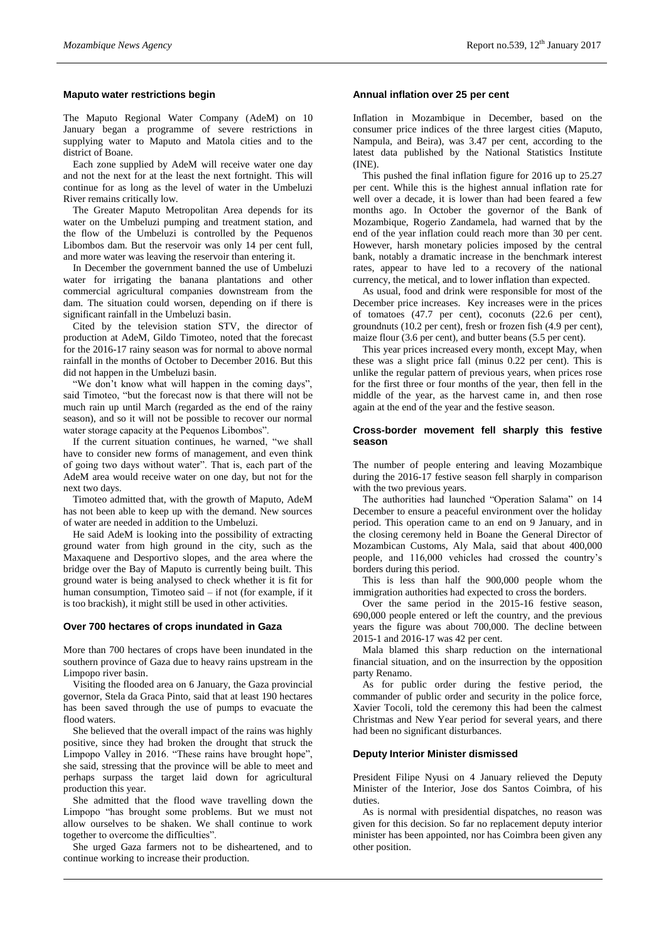# **Maputo water restrictions begin**

The Maputo Regional Water Company (AdeM) on 10 January began a programme of severe restrictions in supplying water to Maputo and Matola cities and to the district of Boane.

Each zone supplied by AdeM will receive water one day and not the next for at the least the next fortnight. This will continue for as long as the level of water in the Umbeluzi River remains critically low.

The Greater Maputo Metropolitan Area depends for its water on the Umbeluzi pumping and treatment station, and the flow of the Umbeluzi is controlled by the Pequenos Libombos dam. But the reservoir was only 14 per cent full, and more water was leaving the reservoir than entering it.

In December the government banned the use of Umbeluzi water for irrigating the banana plantations and other commercial agricultural companies downstream from the dam. The situation could worsen, depending on if there is significant rainfall in the Umbeluzi basin.

Cited by the television station STV, the director of production at AdeM, Gildo Timoteo, noted that the forecast for the 2016-17 rainy season was for normal to above normal rainfall in the months of October to December 2016. But this did not happen in the Umbeluzi basin.

"We don't know what will happen in the coming days", said Timoteo, "but the forecast now is that there will not be much rain up until March (regarded as the end of the rainy season), and so it will not be possible to recover our normal water storage capacity at the Pequenos Libombos".

If the current situation continues, he warned, "we shall have to consider new forms of management, and even think of going two days without water". That is, each part of the AdeM area would receive water on one day, but not for the next two days.

Timoteo admitted that, with the growth of Maputo, AdeM has not been able to keep up with the demand. New sources of water are needed in addition to the Umbeluzi.

He said AdeM is looking into the possibility of extracting ground water from high ground in the city, such as the Maxaquene and Desportivo slopes, and the area where the bridge over the Bay of Maputo is currently being built. This ground water is being analysed to check whether it is fit for human consumption, Timoteo said – if not (for example, if it is too brackish), it might still be used in other activities.

#### **Over 700 hectares of crops inundated in Gaza**

More than 700 hectares of crops have been inundated in the southern province of Gaza due to heavy rains upstream in the Limpopo river basin.

Visiting the flooded area on 6 January, the Gaza provincial governor, Stela da Graca Pinto, said that at least 190 hectares has been saved through the use of pumps to evacuate the flood waters.

She believed that the overall impact of the rains was highly positive, since they had broken the drought that struck the Limpopo Valley in 2016. "These rains have brought hope", she said, stressing that the province will be able to meet and perhaps surpass the target laid down for agricultural production this year.

She admitted that the flood wave travelling down the Limpopo "has brought some problems. But we must not allow ourselves to be shaken. We shall continue to work together to overcome the difficulties".

She urged Gaza farmers not to be disheartened, and to continue working to increase their production.

# **Annual inflation over 25 per cent**

Inflation in Mozambique in December, based on the consumer price indices of the three largest cities (Maputo, Nampula, and Beira), was 3.47 per cent, according to the latest data published by the National Statistics Institute (INE).

This pushed the final inflation figure for 2016 up to 25.27 per cent. While this is the highest annual inflation rate for well over a decade, it is lower than had been feared a few months ago. In October the governor of the Bank of Mozambique, Rogerio Zandamela, had warned that by the end of the year inflation could reach more than 30 per cent. However, harsh monetary policies imposed by the central bank, notably a dramatic increase in the benchmark interest rates, appear to have led to a recovery of the national currency, the metical, and to lower inflation than expected.

As usual, food and drink were responsible for most of the December price increases. Key increases were in the prices of tomatoes (47.7 per cent), coconuts (22.6 per cent), groundnuts (10.2 per cent), fresh or frozen fish (4.9 per cent), maize flour (3.6 per cent), and butter beans (5.5 per cent).

This year prices increased every month, except May, when these was a slight price fall (minus 0.22 per cent). This is unlike the regular pattern of previous years, when prices rose for the first three or four months of the year, then fell in the middle of the year, as the harvest came in, and then rose again at the end of the year and the festive season.

# **Cross-border movement fell sharply this festive season**

The number of people entering and leaving Mozambique during the 2016-17 festive season fell sharply in comparison with the two previous years.

The authorities had launched "Operation Salama" on 14 December to ensure a peaceful environment over the holiday period. This operation came to an end on 9 January, and in the closing ceremony held in Boane the General Director of Mozambican Customs, Aly Mala, said that about 400,000 people, and 116,000 vehicles had crossed the country's borders during this period.

This is less than half the 900,000 people whom the immigration authorities had expected to cross the borders.

Over the same period in the 2015-16 festive season, 690,000 people entered or left the country, and the previous years the figure was about 700,000. The decline between 2015-1 and 2016-17 was 42 per cent.

Mala blamed this sharp reduction on the international financial situation, and on the insurrection by the opposition party Renamo.

As for public order during the festive period, the commander of public order and security in the police force, Xavier Tocoli, told the ceremony this had been the calmest Christmas and New Year period for several years, and there had been no significant disturbances.

## **Deputy Interior Minister dismissed**

President Filipe Nyusi on 4 January relieved the Deputy Minister of the Interior, Jose dos Santos Coimbra, of his duties.

As is normal with presidential dispatches, no reason was given for this decision. So far no replacement deputy interior minister has been appointed, nor has Coimbra been given any other position.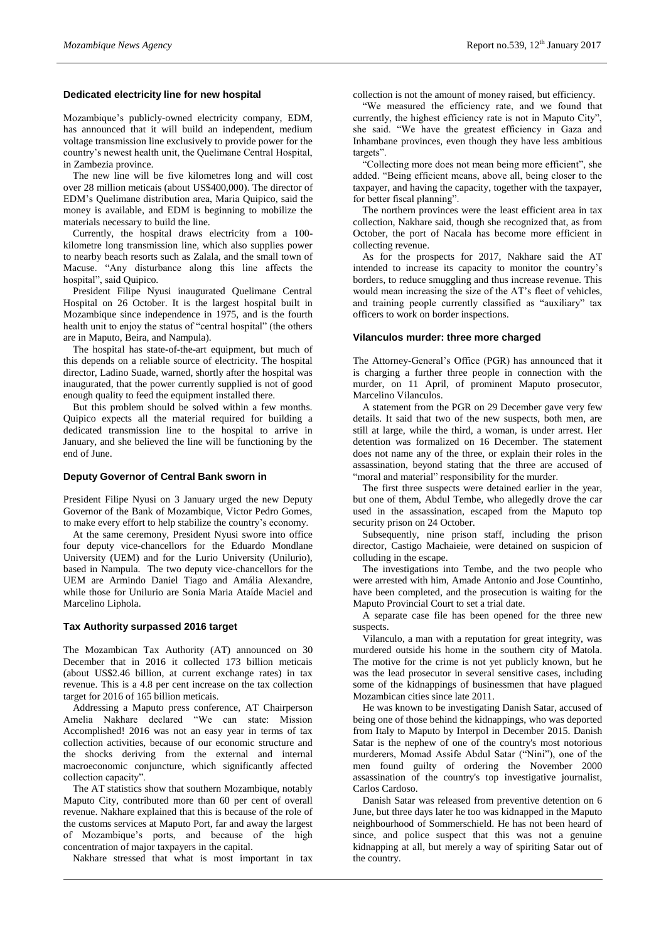# **Dedicated electricity line for new hospital**

Mozambique's publicly-owned electricity company, EDM, has announced that it will build an independent, medium voltage transmission line exclusively to provide power for the country's newest health unit, the Quelimane Central Hospital, in Zambezia province.

The new line will be five kilometres long and will cost over 28 million meticais (about US\$400,000). The director of EDM's Quelimane distribution area, Maria Quipico, said the money is available, and EDM is beginning to mobilize the materials necessary to build the line.

Currently, the hospital draws electricity from a 100 kilometre long transmission line, which also supplies power to nearby beach resorts such as Zalala, and the small town of Macuse. "Any disturbance along this line affects the hospital", said Quipico.

President Filipe Nyusi inaugurated Quelimane Central Hospital on 26 October. It is the largest hospital built in Mozambique since independence in 1975, and is the fourth health unit to enjoy the status of "central hospital" (the others are in Maputo, Beira, and Nampula).

The hospital has state-of-the-art equipment, but much of this depends on a reliable source of electricity. The hospital director, Ladino Suade, warned, shortly after the hospital was inaugurated, that the power currently supplied is not of good enough quality to feed the equipment installed there.

But this problem should be solved within a few months. Quipico expects all the material required for building a dedicated transmission line to the hospital to arrive in January, and she believed the line will be functioning by the end of June.

### **Deputy Governor of Central Bank sworn in**

President Filipe Nyusi on 3 January urged the new Deputy Governor of the Bank of Mozambique, Victor Pedro Gomes, to make every effort to help stabilize the country's economy.

At the same ceremony, President Nyusi swore into office four deputy vice-chancellors for the Eduardo Mondlane University (UEM) and for the Lurio University (Unilurio), based in Nampula. The two deputy vice-chancellors for the UEM are Armindo Daniel Tiago and Amália Alexandre, while those for Unilurio are Sonia Maria Ataíde Maciel and Marcelino Liphola.

#### **Tax Authority surpassed 2016 target**

The Mozambican Tax Authority (AT) announced on 30 December that in 2016 it collected 173 billion meticais (about US\$2.46 billion, at current exchange rates) in tax revenue. This is a 4.8 per cent increase on the tax collection target for 2016 of 165 billion meticais.

Addressing a Maputo press conference, AT Chairperson Amelia Nakhare declared "We can state: Mission Accomplished! 2016 was not an easy year in terms of tax collection activities, because of our economic structure and the shocks deriving from the external and internal macroeconomic conjuncture, which significantly affected collection capacity".

The AT statistics show that southern Mozambique, notably Maputo City, contributed more than 60 per cent of overall revenue. Nakhare explained that this is because of the role of the customs services at Maputo Port, far and away the largest of Mozambique's ports, and because of the high concentration of major taxpayers in the capital.

Nakhare stressed that what is most important in tax

collection is not the amount of money raised, but efficiency.

"We measured the efficiency rate, and we found that currently, the highest efficiency rate is not in Maputo City", she said. "We have the greatest efficiency in Gaza and Inhambane provinces, even though they have less ambitious targets".

"Collecting more does not mean being more efficient", she added. "Being efficient means, above all, being closer to the taxpayer, and having the capacity, together with the taxpayer, for better fiscal planning".

The northern provinces were the least efficient area in tax collection, Nakhare said, though she recognized that, as from October, the port of Nacala has become more efficient in collecting revenue.

As for the prospects for 2017, Nakhare said the AT intended to increase its capacity to monitor the country's borders, to reduce smuggling and thus increase revenue. This would mean increasing the size of the AT's fleet of vehicles, and training people currently classified as "auxiliary" tax officers to work on border inspections.

#### **Vilanculos murder: three more charged**

The Attorney-General's Office (PGR) has announced that it is charging a further three people in connection with the murder, on 11 April, of prominent Maputo prosecutor, Marcelino Vilanculos.

A statement from the PGR on 29 December gave very few details. It said that two of the new suspects, both men, are still at large, while the third, a woman, is under arrest. Her detention was formalized on 16 December. The statement does not name any of the three, or explain their roles in the assassination, beyond stating that the three are accused of "moral and material" responsibility for the murder.

The first three suspects were detained earlier in the year, but one of them, Abdul Tembe, who allegedly drove the car used in the assassination, escaped from the Maputo top security prison on 24 October.

Subsequently, nine prison staff, including the prison director, Castigo Machaieie, were detained on suspicion of colluding in the escape.

The investigations into Tembe, and the two people who were arrested with him, Amade Antonio and Jose Countinho, have been completed, and the prosecution is waiting for the Maputo Provincial Court to set a trial date.

A separate case file has been opened for the three new suspects.

Vilanculo, a man with a reputation for great integrity, was murdered outside his home in the southern city of Matola. The motive for the crime is not yet publicly known, but he was the lead prosecutor in several sensitive cases, including some of the kidnappings of businessmen that have plagued Mozambican cities since late 2011.

He was known to be investigating Danish Satar, accused of being one of those behind the kidnappings, who was deported from Italy to Maputo by Interpol in December 2015. Danish Satar is the nephew of one of the country's most notorious murderers, Momad Assife Abdul Satar ("Nini"), one of the men found guilty of ordering the November 2000 assassination of the country's top investigative journalist, Carlos Cardoso.

Danish Satar was released from preventive detention on 6 June, but three days later he too was kidnapped in the Maputo neighbourhood of Sommerschield. He has not been heard of since, and police suspect that this was not a genuine kidnapping at all, but merely a way of spiriting Satar out of the country.